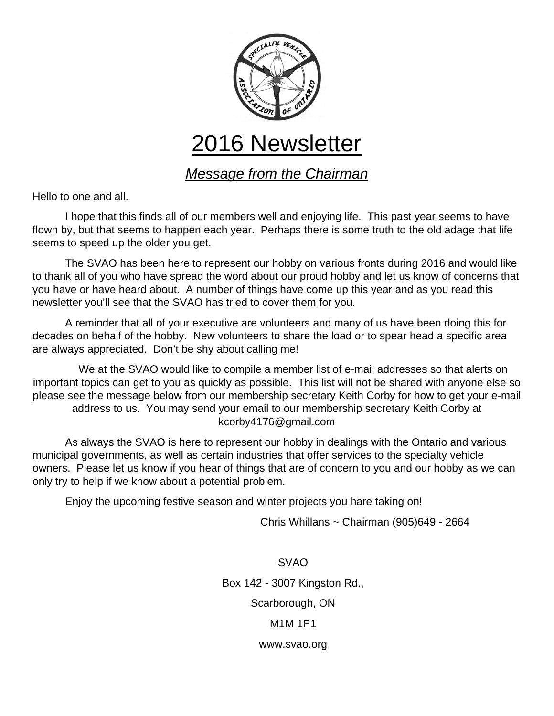

## 2016 Newsletter

*Message from the Chairman*

Hello to one and all.

I hope that this finds all of our members well and enjoying life. This past year seems to have flown by, but that seems to happen each year. Perhaps there is some truth to the old adage that life seems to speed up the older you get.

The SVAO has been here to represent our hobby on various fronts during 2016 and would like to thank all of you who have spread the word about our proud hobby and let us know of concerns that you have or have heard about. A number of things have come up this year and as you read this newsletter you'll see that the SVAO has tried to cover them for you.

A reminder that all of your executive are volunteers and many of us have been doing this for decades on behalf of the hobby. New volunteers to share the load or to spear head a specific area are always appreciated. Don't be shy about calling me!

We at the SVAO would like to compile a member list of e-mail addresses so that alerts on important topics can get to you as quickly as possible. This list will not be shared with anyone else so please see the message below from our membership secretary Keith Corby for how to get your e-mail address to us. You may send your email to our membership secretary Keith Corby at kcorby4176@gmail.com

As always the SVAO is here to represent our hobby in dealings with the Ontario and various municipal governments, as well as certain industries that offer services to the specialty vehicle owners. Please let us know if you hear of things that are of concern to you and our hobby as we can only try to help if we know about a potential problem.

Enjoy the upcoming festive season and winter projects you hare taking on!

Chris Whillans ~ Chairman (905)649 - 2664

SVAO

Box 142 - 3007 Kingston Rd.,

Scarborough, ON

M1M 1P1

www.svao.org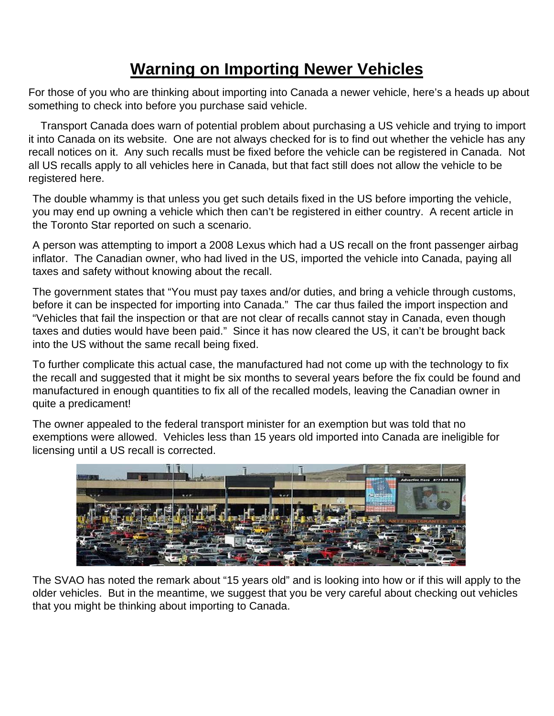## **Warning on Importing Newer Vehicles**

For those of you who are thinking about importing into Canada a newer vehicle, here's a heads up about something to check into before you purchase said vehicle.

Transport Canada does warn of potential problem about purchasing a US vehicle and trying to import it into Canada on its website. One are not always checked for is to find out whether the vehicle has any recall notices on it. Any such recalls must be fixed before the vehicle can be registered in Canada. Not all US recalls apply to all vehicles here in Canada, but that fact still does not allow the vehicle to be registered here.

The double whammy is that unless you get such details fixed in the US before importing the vehicle, you may end up owning a vehicle which then can't be registered in either country. A recent article in the Toronto Star reported on such a scenario.

A person was attempting to import a 2008 Lexus which had a US recall on the front passenger airbag inflator. The Canadian owner, who had lived in the US, imported the vehicle into Canada, paying all taxes and safety without knowing about the recall.

The government states that "You must pay taxes and/or duties, and bring a vehicle through customs, before it can be inspected for importing into Canada." The car thus failed the import inspection and "Vehicles that fail the inspection or that are not clear of recalls cannot stay in Canada, even though taxes and duties would have been paid." Since it has now cleared the US, it can't be brought back into the US without the same recall being fixed.

To further complicate this actual case, the manufactured had not come up with the technology to fix the recall and suggested that it might be six months to several years before the fix could be found and manufactured in enough quantities to fix all of the recalled models, leaving the Canadian owner in quite a predicament!

The owner appealed to the federal transport minister for an exemption but was told that no exemptions were allowed. Vehicles less than 15 years old imported into Canada are ineligible for licensing until a US recall is corrected.



The SVAO has noted the remark about "15 years old" and is looking into how or if this will apply to the older vehicles. But in the meantime, we suggest that you be very careful about checking out vehicles that you might be thinking about importing to Canada.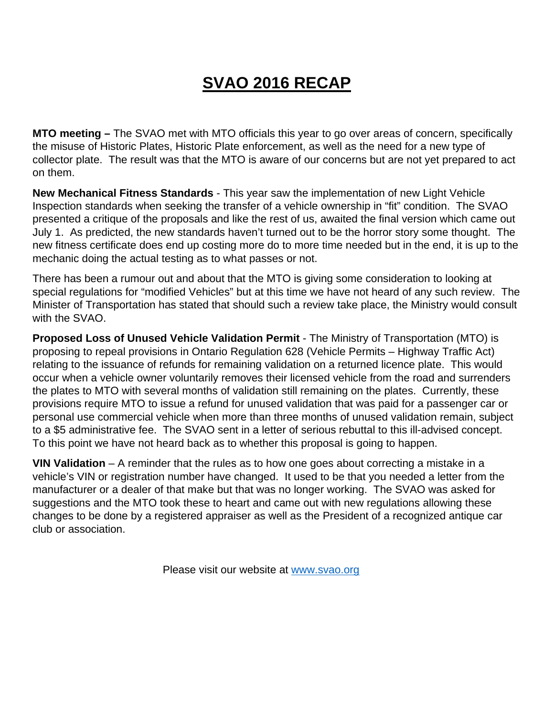## **SVAO 2016 RECAP**

**MTO meeting –** The SVAO met with MTO officials this year to go over areas of concern, specifically the misuse of Historic Plates, Historic Plate enforcement, as well as the need for a new type of collector plate. The result was that the MTO is aware of our concerns but are not yet prepared to act on them.

**New Mechanical Fitness Standards** - This year saw the implementation of new Light Vehicle Inspection standards when seeking the transfer of a vehicle ownership in "fit" condition. The SVAO presented a critique of the proposals and like the rest of us, awaited the final version which came out July 1. As predicted, the new standards haven't turned out to be the horror story some thought. The new fitness certificate does end up costing more do to more time needed but in the end, it is up to the mechanic doing the actual testing as to what passes or not.

There has been a rumour out and about that the MTO is giving some consideration to looking at special regulations for "modified Vehicles" but at this time we have not heard of any such review. The Minister of Transportation has stated that should such a review take place, the Ministry would consult with the SVAO.

**Proposed Loss of Unused Vehicle Validation Permit** - The Ministry of Transportation (MTO) is proposing to repeal provisions in Ontario Regulation 628 (Vehicle Permits – Highway Traffic Act) relating to the issuance of refunds for remaining validation on a returned licence plate. This would occur when a vehicle owner voluntarily removes their licensed vehicle from the road and surrenders the plates to MTO with several months of validation still remaining on the plates. Currently, these provisions require MTO to issue a refund for unused validation that was paid for a passenger car or personal use commercial vehicle when more than three months of unused validation remain, subject to a \$5 administrative fee. The SVAO sent in a letter of serious rebuttal to this ill-advised concept. To this point we have not heard back as to whether this proposal is going to happen.

**VIN Validation** – A reminder that the rules as to how one goes about correcting a mistake in a vehicle's VIN or registration number have changed. It used to be that you needed a letter from the manufacturer or a dealer of that make but that was no longer working. The SVAO was asked for suggestions and the MTO took these to heart and came out with new regulations allowing these changes to be done by a registered appraiser as well as the President of a recognized antique car club or association.

Please visit our website at www.svao.org